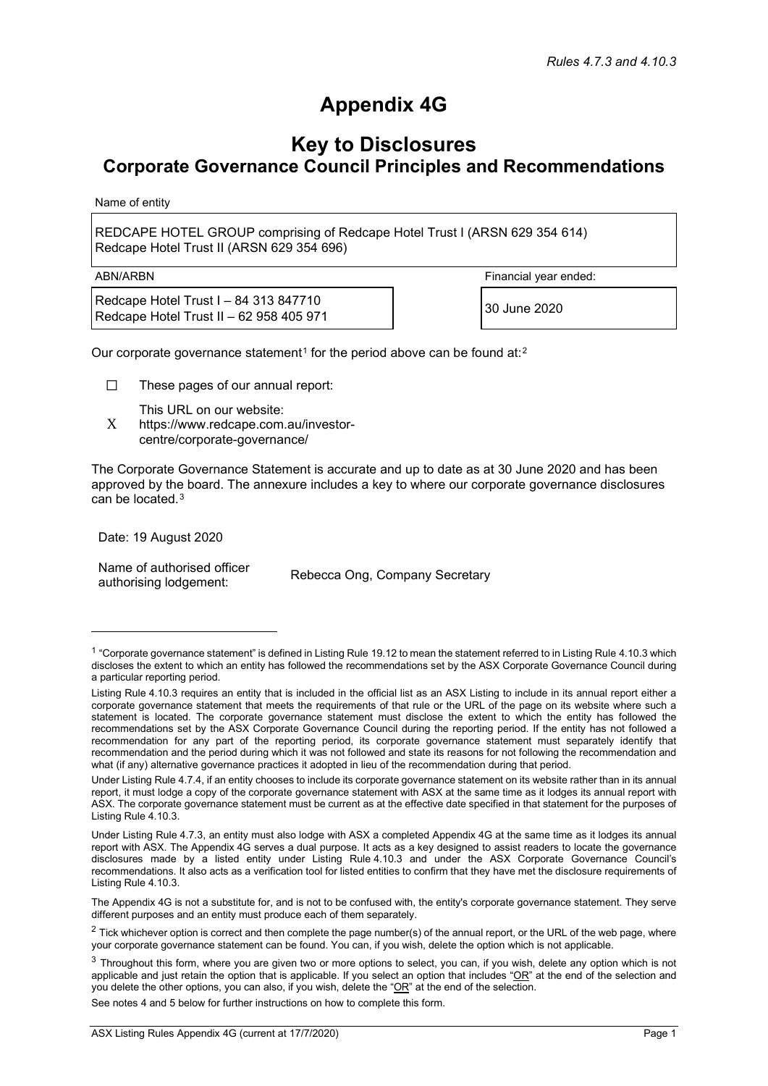## **Appendix 4G**

## **Key to Disclosures Corporate Governance Council Principles and Recommendations**

Name of entity

REDCAPE HOTEL GROUP comprising of Redcape Hotel Trust I (ARSN 629 354 614) Redcape Hotel Trust II (ARSN 629 354 696)

Redcape Hotel Trust I – 84 313 847710 Redcape Hotel Trust  $I = 64, 515, 647, 716$ <br>Redcape Hotel Trust II – 62 958 405 971

ABN/ARBN Financial year ended:

Our corporate governance statement<sup>[1](#page-0-0)</sup> for the period above can be found at:<sup>[2](#page-0-1)</sup>

☐ These pages of our annual report:

This URL on our website:

X https://www.redcape.com.au/investorcentre/corporate-governance/

The Corporate Governance Statement is accurate and up to date as at 30 June 2020 and has been approved by the board. The annexure includes a key to where our corporate governance disclosures can be located.<sup>[3](#page-0-2)</sup>

Date: 19 August 2020

Name of authorised officer authorising lodgement: Rebecca Ong, Company Secretary

See notes 4 and 5 below for further instructions on how to complete this form.

<span id="page-0-0"></span> $1$  "Corporate governance statement" is defined in Listing Rule 19.12 to mean the statement referred to in Listing Rule 4.10.3 which discloses the extent to which an entity has followed the recommendations set by the ASX Corporate Governance Council during a particular reporting period.

Listing Rule 4.10.3 requires an entity that is included in the official list as an ASX Listing to include in its annual report either a corporate governance statement that meets the requirements of that rule or the URL of the page on its website where such a statement is located. The corporate governance statement must disclose the extent to which the entity has followed the recommendations set by the ASX Corporate Governance Council during the reporting period. If the entity has not followed a recommendation for any part of the reporting period, its corporate governance statement must separately identify that recommendation and the period during which it was not followed and state its reasons for not following the recommendation and what (if any) alternative governance practices it adopted in lieu of the recommendation during that period.

Under Listing Rule 4.7.4, if an entity chooses to include its corporate governance statement on its website rather than in its annual report, it must lodge a copy of the corporate governance statement with ASX at the same time as it lodges its annual report with ASX. The corporate governance statement must be current as at the effective date specified in that statement for the purposes of Listing Rule 4.10.3.

Under Listing Rule 4.7.3, an entity must also lodge with ASX a completed Appendix 4G at the same time as it lodges its annual report with ASX. The Appendix 4G serves a dual purpose. It acts as a key designed to assist readers to locate the governance disclosures made by a listed entity under Listing Rule 4.10.3 and under the ASX Corporate Governance Council's recommendations. It also acts as a verification tool for listed entities to confirm that they have met the disclosure requirements of Listing Rule 4.10.3.

The Appendix 4G is not a substitute for, and is not to be confused with, the entity's corporate governance statement. They serve different purposes and an entity must produce each of them separately.

<span id="page-0-1"></span> $2$  Tick whichever option is correct and then complete the page number(s) of the annual report, or the URL of the web page, where your corporate governance statement can be found. You can, if you wish, delete the option which is not applicable.

<span id="page-0-2"></span> $3$  Throughout this form, where you are given two or more options to select, you can, if you wish, delete any option which is not applicable and just retain the option that is applicable. If you select an option that includes " $OR$ " at the end of the selection and you delete the other options, you can also, if you wish, delete the "OR" at the end of the selection.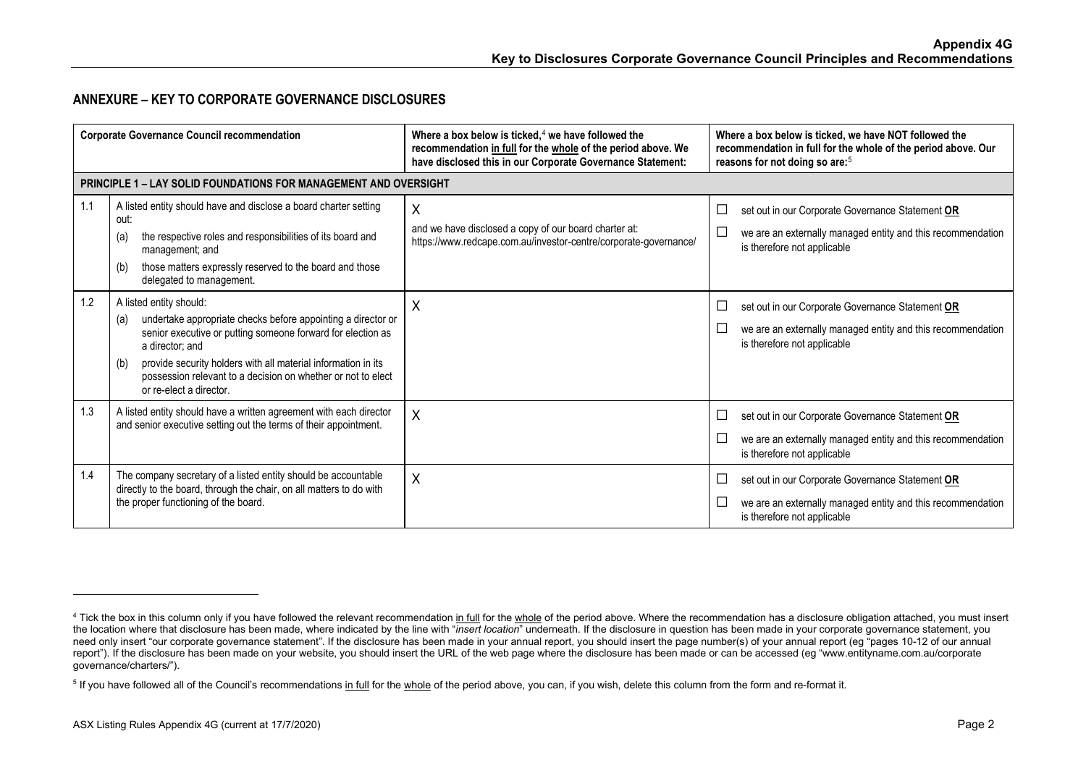## <span id="page-1-1"></span><span id="page-1-0"></span>**ANNEXURE – KEY TO CORPORATE GOVERNANCE DISCLOSURES**

| <b>Corporate Governance Council recommendation</b> |                                                                                                                                                                                                                                                                                                                                                     | Where a box below is ticked, $4$ we have followed the<br>recommendation in full for the whole of the period above. We<br>have disclosed this in our Corporate Governance Statement: | Where a box below is ticked, we have NOT followed the<br>recommendation in full for the whole of the period above. Our<br>reasons for not doing so are: <sup>5</sup> |
|----------------------------------------------------|-----------------------------------------------------------------------------------------------------------------------------------------------------------------------------------------------------------------------------------------------------------------------------------------------------------------------------------------------------|-------------------------------------------------------------------------------------------------------------------------------------------------------------------------------------|----------------------------------------------------------------------------------------------------------------------------------------------------------------------|
|                                                    | <b>PRINCIPLE 1 – LAY SOLID FOUNDATIONS FOR MANAGEMENT AND OVERSIGHT</b>                                                                                                                                                                                                                                                                             |                                                                                                                                                                                     |                                                                                                                                                                      |
| 1.1                                                | A listed entity should have and disclose a board charter setting<br>out:<br>the respective roles and responsibilities of its board and<br>(a)<br>management; and<br>those matters expressly reserved to the board and those<br>(b)<br>delegated to management.                                                                                      | X<br>and we have disclosed a copy of our board charter at:<br>https://www.redcape.com.au/investor-centre/corporate-governance/                                                      | set out in our Corporate Governance Statement OR<br>$\Box$<br>we are an externally managed entity and this recommendation<br>is therefore not applicable             |
| 1.2                                                | A listed entity should:<br>undertake appropriate checks before appointing a director or<br>(a)<br>senior executive or putting someone forward for election as<br>a director: and<br>provide security holders with all material information in its<br>(b)<br>possession relevant to a decision on whether or not to elect<br>or re-elect a director. | X                                                                                                                                                                                   | set out in our Corporate Governance Statement OR<br>$\Box$<br>we are an externally managed entity and this recommendation<br>$\Box$<br>is therefore not applicable   |
| 1.3                                                | A listed entity should have a written agreement with each director<br>and senior executive setting out the terms of their appointment.                                                                                                                                                                                                              | $\boldsymbol{\mathsf{X}}$                                                                                                                                                           | set out in our Corporate Governance Statement OR<br>$\Box$<br>we are an externally managed entity and this recommendation<br>is therefore not applicable             |
| 1.4                                                | The company secretary of a listed entity should be accountable<br>directly to the board, through the chair, on all matters to do with<br>the proper functioning of the board.                                                                                                                                                                       | X                                                                                                                                                                                   | set out in our Corporate Governance Statement OR<br>└<br>we are an externally managed entity and this recommendation<br>$\Box$<br>is therefore not applicable        |

<sup>&</sup>lt;sup>4</sup> Tick the box in this column only if you have followed the relevant recommendation in full for the whole of the period above. Where the recommendation has a disclosure obligation attached, you must insert the location where that disclosure has been made, where indicated by the line with "*insert location*" underneath. If the disclosure in question has been made in your corporate governance statement, you need only insert "our corporate governance statement". If the disclosure has been made in your annual report, you should insert the page number(s) of your annual report (eg "pages 10-12 of our annual report"). If the disclosure has been made on your website, you should insert the URL of the web page where the disclosure has been made or can be accessed (eg "www.entityname.com.au/corporate governance/charters/").

<sup>&</sup>lt;sup>5</sup> If you have followed all of the Council's recommendations in full for the whole of the period above, you can, if you wish, delete this column from the form and re-format it.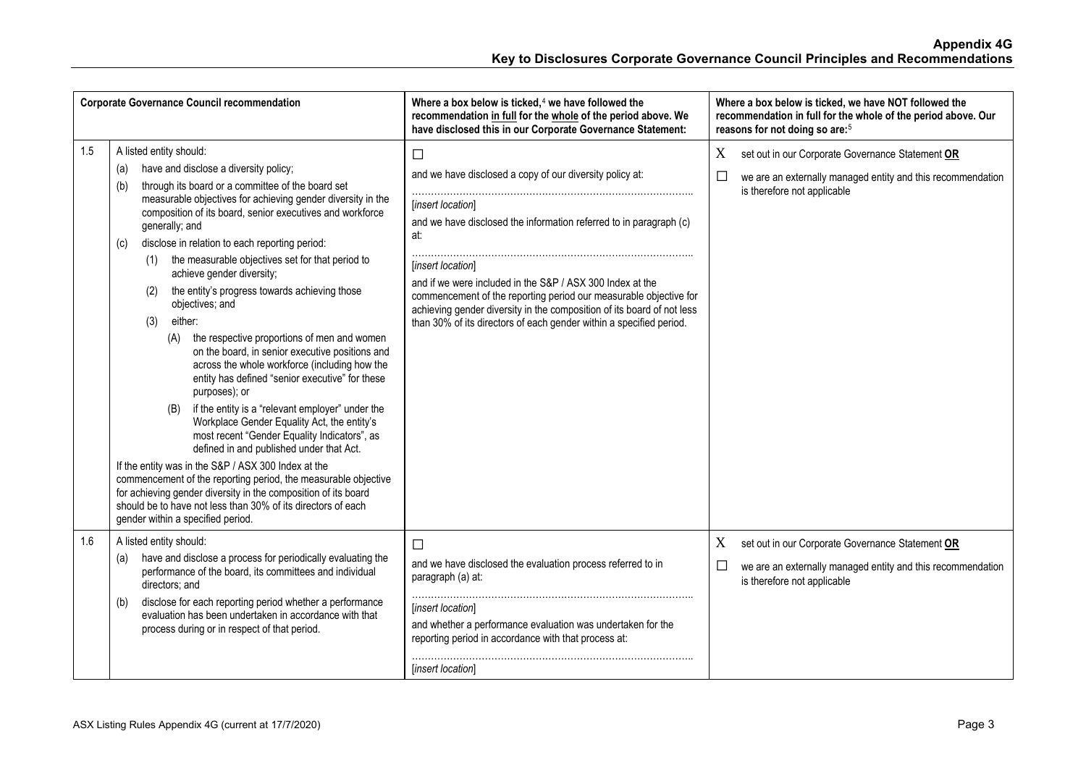| <b>Corporate Governance Council recommendation</b> |                                                                                                                                                                                                                                                                                                                                                                                                                                                                                                                                                                                                                                                                                                                                                                                                                                                                                                                                                                                                                                                                                                                                                                                                                                                                     | Where a box below is ticked, $4$ we have followed the<br>recommendation in full for the whole of the period above. We<br>have disclosed this in our Corporate Governance Statement:                                                                                                                                                                                                                                                                                          | Where a box below is ticked, we have NOT followed the<br>recommendation in full for the whole of the period above. Our<br>reasons for not doing so are: <sup>5</sup> |
|----------------------------------------------------|---------------------------------------------------------------------------------------------------------------------------------------------------------------------------------------------------------------------------------------------------------------------------------------------------------------------------------------------------------------------------------------------------------------------------------------------------------------------------------------------------------------------------------------------------------------------------------------------------------------------------------------------------------------------------------------------------------------------------------------------------------------------------------------------------------------------------------------------------------------------------------------------------------------------------------------------------------------------------------------------------------------------------------------------------------------------------------------------------------------------------------------------------------------------------------------------------------------------------------------------------------------------|------------------------------------------------------------------------------------------------------------------------------------------------------------------------------------------------------------------------------------------------------------------------------------------------------------------------------------------------------------------------------------------------------------------------------------------------------------------------------|----------------------------------------------------------------------------------------------------------------------------------------------------------------------|
| 1.5                                                | A listed entity should:<br>have and disclose a diversity policy;<br>(a)<br>through its board or a committee of the board set<br>(b)<br>measurable objectives for achieving gender diversity in the<br>composition of its board, senior executives and workforce<br>generally; and<br>disclose in relation to each reporting period:<br>(c)<br>the measurable objectives set for that period to<br>(1)<br>achieve gender diversity;<br>the entity's progress towards achieving those<br>(2)<br>objectives; and<br>either:<br>(3)<br>the respective proportions of men and women<br>(A)<br>on the board, in senior executive positions and<br>across the whole workforce (including how the<br>entity has defined "senior executive" for these<br>purposes); or<br>if the entity is a "relevant employer" under the<br>(B)<br>Workplace Gender Equality Act, the entity's<br>most recent "Gender Equality Indicators", as<br>defined in and published under that Act.<br>If the entity was in the S&P / ASX 300 Index at the<br>commencement of the reporting period, the measurable objective<br>for achieving gender diversity in the composition of its board<br>should be to have not less than 30% of its directors of each<br>gender within a specified period. | $\Box$<br>and we have disclosed a copy of our diversity policy at:<br>[insert location]<br>and we have disclosed the information referred to in paragraph (c)<br>at:<br>[insert location]<br>and if we were included in the S&P / ASX 300 Index at the<br>commencement of the reporting period our measurable objective for<br>achieving gender diversity in the composition of its board of not less<br>than 30% of its directors of each gender within a specified period. | set out in our Corporate Governance Statement OR<br>X<br>we are an externally managed entity and this recommendation<br>$\Box$<br>is therefore not applicable        |
| 1.6                                                | A listed entity should:<br>have and disclose a process for periodically evaluating the<br>(a)<br>performance of the board, its committees and individual<br>directors; and<br>disclose for each reporting period whether a performance<br>(b)<br>evaluation has been undertaken in accordance with that<br>process during or in respect of that period.                                                                                                                                                                                                                                                                                                                                                                                                                                                                                                                                                                                                                                                                                                                                                                                                                                                                                                             | □<br>and we have disclosed the evaluation process referred to in<br>paragraph (a) at:<br>[insert location]<br>and whether a performance evaluation was undertaken for the<br>reporting period in accordance with that process at:<br>[insert location]                                                                                                                                                                                                                       | set out in our Corporate Governance Statement OR<br>X<br>we are an externally managed entity and this recommendation<br>is therefore not applicable                  |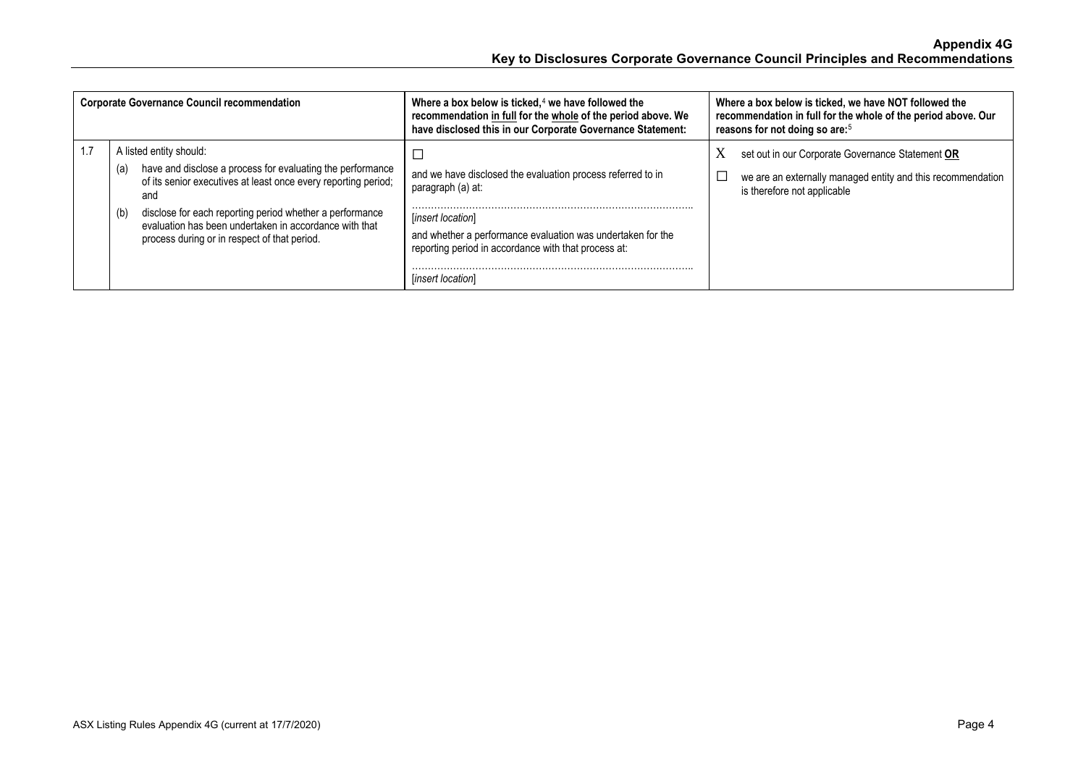| <b>Corporate Governance Council recommendation</b> |            |                                                                                                                                                                                                                                                                                                                                      | Where a box below is ticked, $4$ we have followed the<br>recommendation in full for the whole of the period above. We<br>have disclosed this in our Corporate Governance Statement:                                                               | Where a box below is ticked, we have NOT followed the<br>recommendation in full for the whole of the period above. Our<br>reasons for not doing so are: <sup>5</sup> |
|----------------------------------------------------|------------|--------------------------------------------------------------------------------------------------------------------------------------------------------------------------------------------------------------------------------------------------------------------------------------------------------------------------------------|---------------------------------------------------------------------------------------------------------------------------------------------------------------------------------------------------------------------------------------------------|----------------------------------------------------------------------------------------------------------------------------------------------------------------------|
|                                                    | (a)<br>(b) | A listed entity should:<br>have and disclose a process for evaluating the performance<br>of its senior executives at least once every reporting period;<br>and<br>disclose for each reporting period whether a performance<br>evaluation has been undertaken in accordance with that<br>process during or in respect of that period. | and we have disclosed the evaluation process referred to in<br>paragraph (a) at:<br>[insert location]<br>and whether a performance evaluation was undertaken for the<br>reporting period in accordance with that process at:<br>[insert location] | X<br>set out in our Corporate Governance Statement OR<br>we are an externally managed entity and this recommendation<br>is therefore not applicable                  |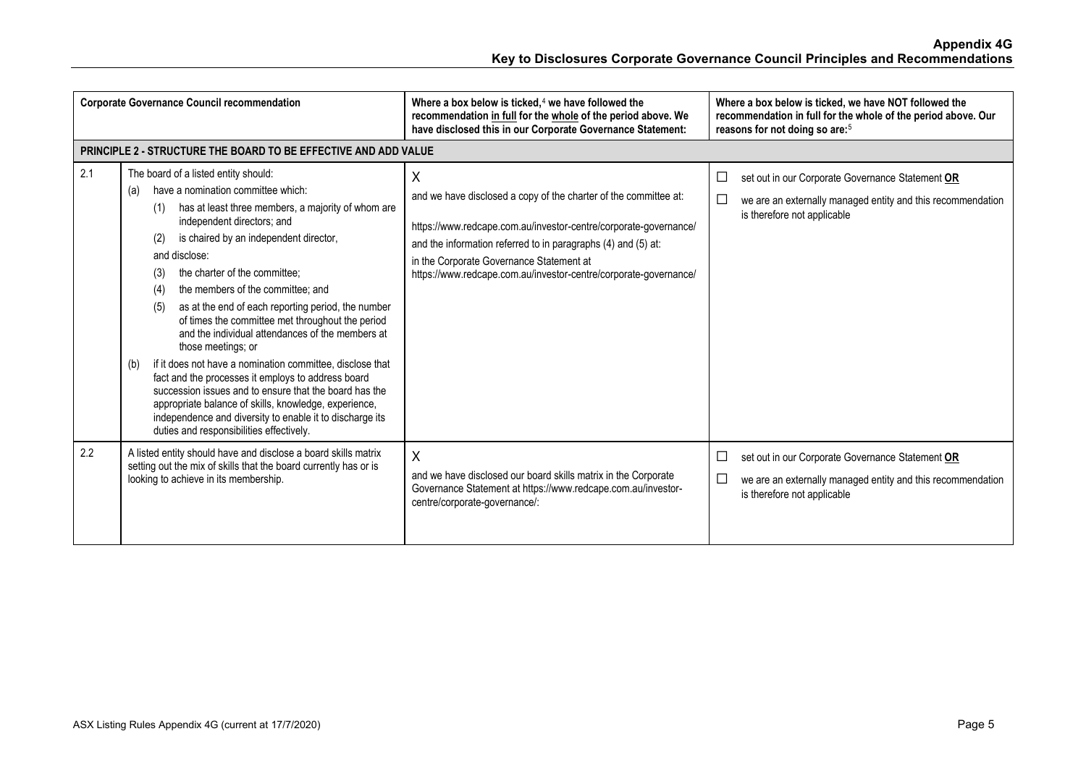| <b>Corporate Governance Council recommendation</b> |                                                                                                                                                                                                                                                                                                                                                                                                                                                                                                                                                                                                                                                                                                                                                                                                                                                                                    | Where a box below is ticked, $4$ we have followed the<br>recommendation in full for the whole of the period above. We<br>have disclosed this in our Corporate Governance Statement:                                                                                                                                        | Where a box below is ticked, we have NOT followed the<br>recommendation in full for the whole of the period above. Our<br>reasons for not doing so are: <sup>5</sup>                    |
|----------------------------------------------------|------------------------------------------------------------------------------------------------------------------------------------------------------------------------------------------------------------------------------------------------------------------------------------------------------------------------------------------------------------------------------------------------------------------------------------------------------------------------------------------------------------------------------------------------------------------------------------------------------------------------------------------------------------------------------------------------------------------------------------------------------------------------------------------------------------------------------------------------------------------------------------|----------------------------------------------------------------------------------------------------------------------------------------------------------------------------------------------------------------------------------------------------------------------------------------------------------------------------|-----------------------------------------------------------------------------------------------------------------------------------------------------------------------------------------|
|                                                    | <b>PRINCIPLE 2 - STRUCTURE THE BOARD TO BE EFFECTIVE AND ADD VALUE</b>                                                                                                                                                                                                                                                                                                                                                                                                                                                                                                                                                                                                                                                                                                                                                                                                             |                                                                                                                                                                                                                                                                                                                            |                                                                                                                                                                                         |
| 2.1                                                | The board of a listed entity should:<br>have a nomination committee which:<br>(a)<br>has at least three members, a majority of whom are<br>(1)<br>independent directors; and<br>is chaired by an independent director,<br>(2)<br>and disclose:<br>the charter of the committee:<br>(3)<br>the members of the committee; and<br>(4)<br>as at the end of each reporting period, the number<br>(5)<br>of times the committee met throughout the period<br>and the individual attendances of the members at<br>those meetings; or<br>if it does not have a nomination committee, disclose that<br>(b)<br>fact and the processes it employs to address board<br>succession issues and to ensure that the board has the<br>appropriate balance of skills, knowledge, experience,<br>independence and diversity to enable it to discharge its<br>duties and responsibilities effectively. | Χ<br>and we have disclosed a copy of the charter of the committee at:<br>https://www.redcape.com.au/investor-centre/corporate-governance/<br>and the information referred to in paragraphs (4) and (5) at:<br>in the Corporate Governance Statement at<br>https://www.redcape.com.au/investor-centre/corporate-governance/ | $\Box$<br>set out in our Corporate Governance Statement OR<br>$\mathcal{L}_{\mathcal{A}}$<br>we are an externally managed entity and this recommendation<br>is therefore not applicable |
| 2.2                                                | A listed entity should have and disclose a board skills matrix<br>setting out the mix of skills that the board currently has or is<br>looking to achieve in its membership.                                                                                                                                                                                                                                                                                                                                                                                                                                                                                                                                                                                                                                                                                                        | X<br>and we have disclosed our board skills matrix in the Corporate<br>Governance Statement at https://www.redcape.com.au/investor-<br>centre/corporate-governance/:                                                                                                                                                       | $\Box$<br>set out in our Corporate Governance Statement OR<br>$\Box$<br>we are an externally managed entity and this recommendation<br>is therefore not applicable                      |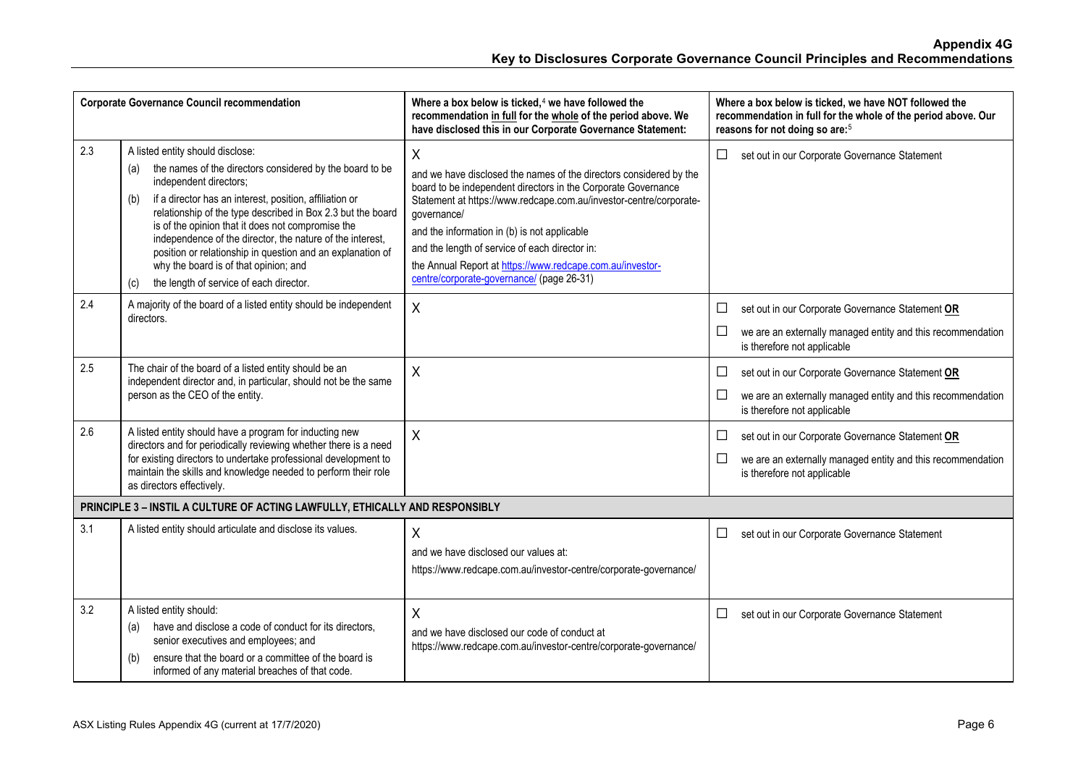|     | <b>Corporate Governance Council recommendation</b>                                                                                                                                                                                                                                                                                                                                                                                                                                                                                        | Where a box below is ticked, $4$ we have followed the<br>recommendation in full for the whole of the period above. We<br>have disclosed this in our Corporate Governance Statement:                                                                                                                                                                                                                                                       | Where a box below is ticked, we have NOT followed the<br>recommendation in full for the whole of the period above. Our<br>reasons for not doing so are: <sup>5</sup>                    |
|-----|-------------------------------------------------------------------------------------------------------------------------------------------------------------------------------------------------------------------------------------------------------------------------------------------------------------------------------------------------------------------------------------------------------------------------------------------------------------------------------------------------------------------------------------------|-------------------------------------------------------------------------------------------------------------------------------------------------------------------------------------------------------------------------------------------------------------------------------------------------------------------------------------------------------------------------------------------------------------------------------------------|-----------------------------------------------------------------------------------------------------------------------------------------------------------------------------------------|
| 2.3 | A listed entity should disclose:<br>the names of the directors considered by the board to be<br>(a)<br>independent directors;<br>if a director has an interest, position, affiliation or<br>(b)<br>relationship of the type described in Box 2.3 but the board<br>is of the opinion that it does not compromise the<br>independence of the director, the nature of the interest,<br>position or relationship in question and an explanation of<br>why the board is of that opinion; and<br>the length of service of each director.<br>(c) | X<br>and we have disclosed the names of the directors considered by the<br>board to be independent directors in the Corporate Governance<br>Statement at https://www.redcape.com.au/investor-centre/corporate-<br>governance/<br>and the information in (b) is not applicable<br>and the length of service of each director in:<br>the Annual Report at https://www.redcape.com.au/investor-<br>centre/corporate-governance/ (page 26-31) | $\Box$<br>set out in our Corporate Governance Statement                                                                                                                                 |
| 2.4 | A majority of the board of a listed entity should be independent<br>directors.                                                                                                                                                                                                                                                                                                                                                                                                                                                            | $\sf X$                                                                                                                                                                                                                                                                                                                                                                                                                                   | set out in our Corporate Governance Statement OR<br>$\mathcal{L}_{\mathcal{A}}$<br>$\Box$<br>we are an externally managed entity and this recommendation<br>is therefore not applicable |
| 2.5 | The chair of the board of a listed entity should be an<br>independent director and, in particular, should not be the same<br>person as the CEO of the entity.                                                                                                                                                                                                                                                                                                                                                                             | X                                                                                                                                                                                                                                                                                                                                                                                                                                         | set out in our Corporate Governance Statement OR<br>$\mathcal{L}_{\mathcal{A}}$<br>$\Box$<br>we are an externally managed entity and this recommendation<br>is therefore not applicable |
| 2.6 | A listed entity should have a program for inducting new<br>directors and for periodically reviewing whether there is a need<br>for existing directors to undertake professional development to<br>maintain the skills and knowledge needed to perform their role<br>as directors effectively.                                                                                                                                                                                                                                             | $\sf X$                                                                                                                                                                                                                                                                                                                                                                                                                                   | set out in our Corporate Governance Statement OR<br>$\Box$<br>we are an externally managed entity and this recommendation<br>$\mathcal{L}_{\mathcal{A}}$<br>is therefore not applicable |
|     | PRINCIPLE 3 - INSTIL A CULTURE OF ACTING LAWFULLY, ETHICALLY AND RESPONSIBLY                                                                                                                                                                                                                                                                                                                                                                                                                                                              |                                                                                                                                                                                                                                                                                                                                                                                                                                           |                                                                                                                                                                                         |
| 3.1 | A listed entity should articulate and disclose its values.                                                                                                                                                                                                                                                                                                                                                                                                                                                                                | X<br>and we have disclosed our values at:<br>https://www.redcape.com.au/investor-centre/corporate-governance/                                                                                                                                                                                                                                                                                                                             | $\Box$<br>set out in our Corporate Governance Statement                                                                                                                                 |
| 3.2 | A listed entity should:<br>have and disclose a code of conduct for its directors.<br>(a)<br>senior executives and employees; and<br>ensure that the board or a committee of the board is<br>(b)<br>informed of any material breaches of that code.                                                                                                                                                                                                                                                                                        | X<br>and we have disclosed our code of conduct at<br>https://www.redcape.com.au/investor-centre/corporate-governance/                                                                                                                                                                                                                                                                                                                     | □<br>set out in our Corporate Governance Statement                                                                                                                                      |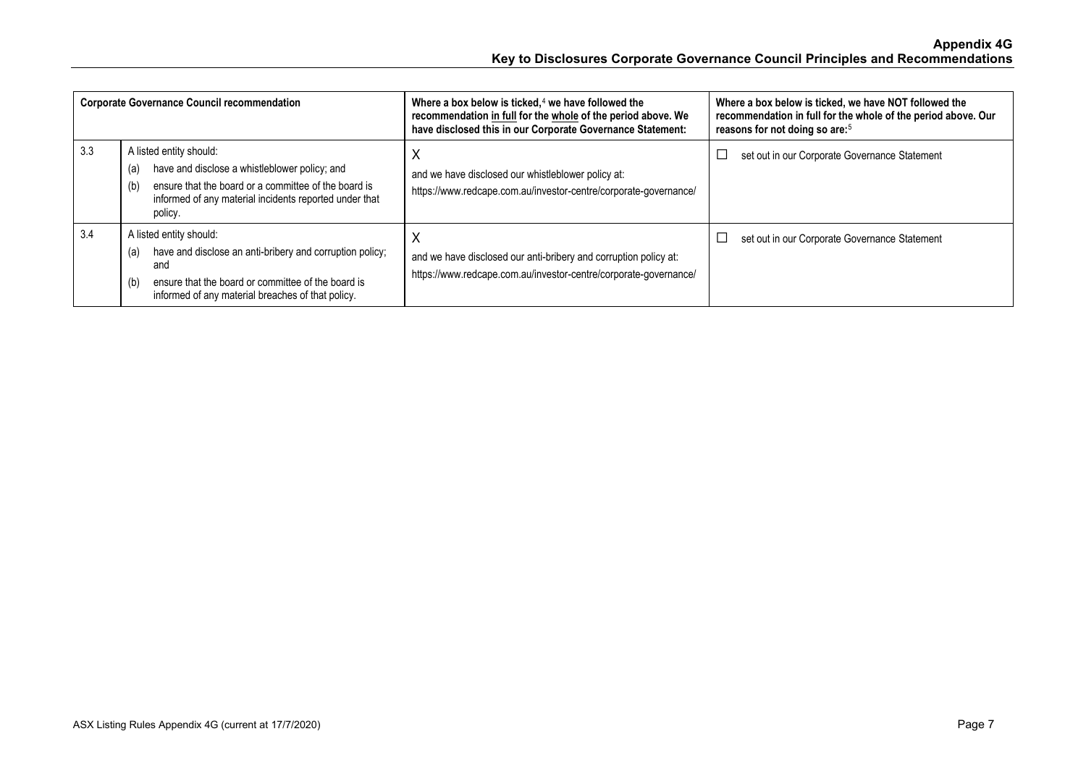|     | <b>Corporate Governance Council recommendation</b>                                                                                                                                                                  | Where a box below is ticked, $4$ we have followed the<br>recommendation in full for the whole of the period above. We<br>have disclosed this in our Corporate Governance Statement: | Where a box below is ticked, we have NOT followed the<br>recommendation in full for the whole of the period above. Our<br>reasons for not doing so are: <sup>5</sup> |
|-----|---------------------------------------------------------------------------------------------------------------------------------------------------------------------------------------------------------------------|-------------------------------------------------------------------------------------------------------------------------------------------------------------------------------------|----------------------------------------------------------------------------------------------------------------------------------------------------------------------|
| 3.3 | A listed entity should:<br>have and disclose a whistleblower policy; and<br>(a)<br>ensure that the board or a committee of the board is<br>(b)<br>informed of any material incidents reported under that<br>policy. | X<br>and we have disclosed our whistleblower policy at:<br>https://www.redcape.com.au/investor-centre/corporate-governance/                                                         | set out in our Corporate Governance Statement                                                                                                                        |
| 3.4 | A listed entity should:<br>have and disclose an anti-bribery and corruption policy;<br>(a)<br>and<br>ensure that the board or committee of the board is<br>(b)<br>informed of any material breaches of that policy. | х<br>and we have disclosed our anti-bribery and corruption policy at:<br>https://www.redcape.com.au/investor-centre/corporate-governance/                                           | set out in our Corporate Governance Statement                                                                                                                        |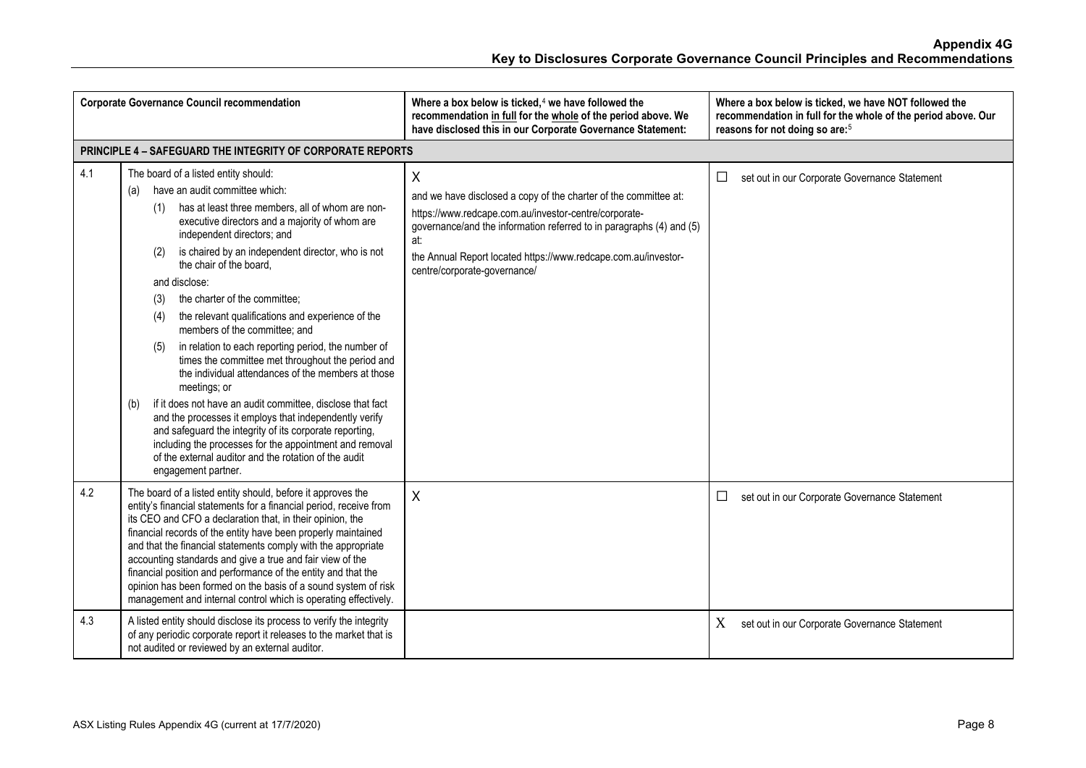|     | <b>Corporate Governance Council recommendation</b>                                                                                                                                                                                                                                                                                                                                                                                                                                                                                                                                                                                                                                                                                                                                                                                                                                                                                                                                                  | Where a box below is ticked, $4$ we have followed the<br>recommendation in full for the whole of the period above. We<br>have disclosed this in our Corporate Governance Statement:                                                                                                                             | Where a box below is ticked, we have NOT followed the<br>recommendation in full for the whole of the period above. Our<br>reasons for not doing so are: <sup>5</sup> |
|-----|-----------------------------------------------------------------------------------------------------------------------------------------------------------------------------------------------------------------------------------------------------------------------------------------------------------------------------------------------------------------------------------------------------------------------------------------------------------------------------------------------------------------------------------------------------------------------------------------------------------------------------------------------------------------------------------------------------------------------------------------------------------------------------------------------------------------------------------------------------------------------------------------------------------------------------------------------------------------------------------------------------|-----------------------------------------------------------------------------------------------------------------------------------------------------------------------------------------------------------------------------------------------------------------------------------------------------------------|----------------------------------------------------------------------------------------------------------------------------------------------------------------------|
|     | PRINCIPLE 4 - SAFEGUARD THE INTEGRITY OF CORPORATE REPORTS                                                                                                                                                                                                                                                                                                                                                                                                                                                                                                                                                                                                                                                                                                                                                                                                                                                                                                                                          |                                                                                                                                                                                                                                                                                                                 |                                                                                                                                                                      |
| 4.1 | The board of a listed entity should:<br>have an audit committee which:<br>(a)<br>has at least three members, all of whom are non-<br>(1)<br>executive directors and a majority of whom are<br>independent directors; and<br>is chaired by an independent director, who is not<br>(2)<br>the chair of the board,<br>and disclose:<br>the charter of the committee;<br>(3)<br>the relevant qualifications and experience of the<br>(4)<br>members of the committee; and<br>in relation to each reporting period, the number of<br>(5)<br>times the committee met throughout the period and<br>the individual attendances of the members at those<br>meetings; or<br>if it does not have an audit committee, disclose that fact<br>(b)<br>and the processes it employs that independently verify<br>and safeguard the integrity of its corporate reporting,<br>including the processes for the appointment and removal<br>of the external auditor and the rotation of the audit<br>engagement partner. | Χ<br>and we have disclosed a copy of the charter of the committee at:<br>https://www.redcape.com.au/investor-centre/corporate-<br>governance/and the information referred to in paragraphs (4) and (5)<br>at:<br>the Annual Report located https://www.redcape.com.au/investor-<br>centre/corporate-governance/ | set out in our Corporate Governance Statement<br>□                                                                                                                   |
| 4.2 | The board of a listed entity should, before it approves the<br>entity's financial statements for a financial period, receive from<br>its CEO and CFO a declaration that, in their opinion, the<br>financial records of the entity have been properly maintained<br>and that the financial statements comply with the appropriate<br>accounting standards and give a true and fair view of the<br>financial position and performance of the entity and that the<br>opinion has been formed on the basis of a sound system of risk<br>management and internal control which is operating effectively.                                                                                                                                                                                                                                                                                                                                                                                                 | $\sf X$                                                                                                                                                                                                                                                                                                         | set out in our Corporate Governance Statement<br>□                                                                                                                   |
| 4.3 | A listed entity should disclose its process to verify the integrity<br>of any periodic corporate report it releases to the market that is<br>not audited or reviewed by an external auditor.                                                                                                                                                                                                                                                                                                                                                                                                                                                                                                                                                                                                                                                                                                                                                                                                        |                                                                                                                                                                                                                                                                                                                 | X<br>set out in our Corporate Governance Statement                                                                                                                   |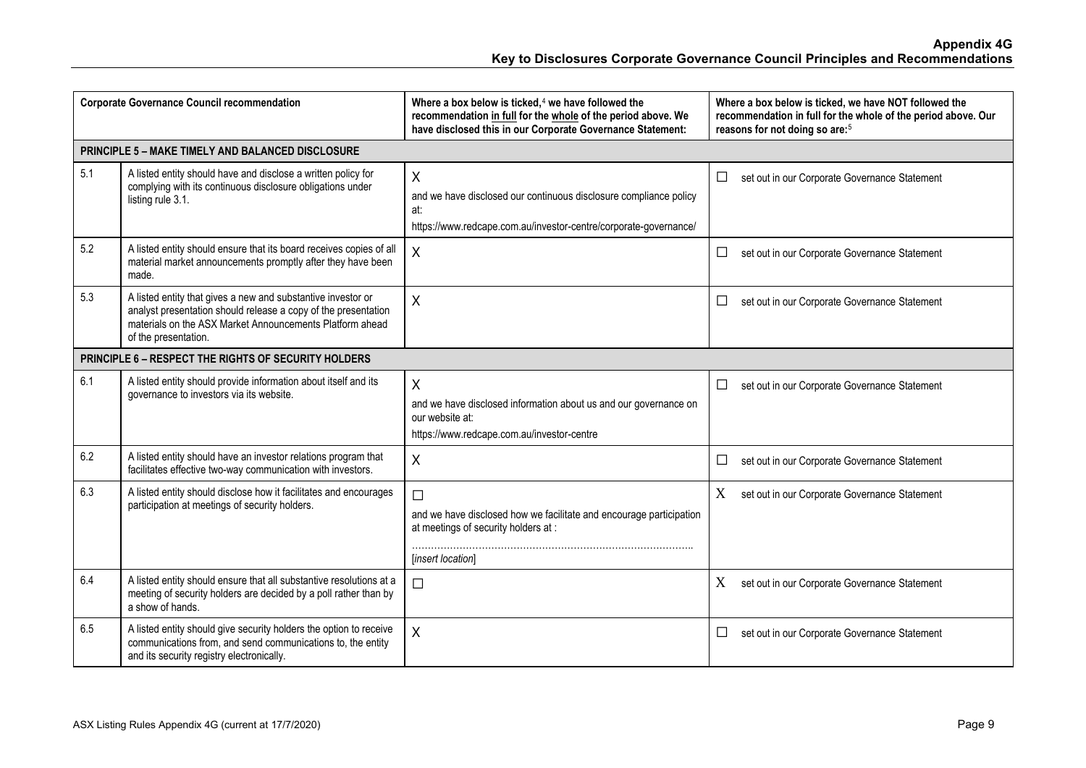| <b>Corporate Governance Council recommendation</b> |                                                                                                                                                                                                                    | Where a box below is ticked, <sup>4</sup> we have followed the<br>recommendation in full for the whole of the period above. We<br>have disclosed this in our Corporate Governance Statement: | Where a box below is ticked, we have NOT followed the<br>recommendation in full for the whole of the period above. Our<br>reasons for not doing so are: <sup>5</sup> |
|----------------------------------------------------|--------------------------------------------------------------------------------------------------------------------------------------------------------------------------------------------------------------------|----------------------------------------------------------------------------------------------------------------------------------------------------------------------------------------------|----------------------------------------------------------------------------------------------------------------------------------------------------------------------|
|                                                    | PRINCIPLE 5 - MAKE TIMELY AND BALANCED DISCLOSURE                                                                                                                                                                  |                                                                                                                                                                                              |                                                                                                                                                                      |
| 5.1                                                | A listed entity should have and disclose a written policy for<br>complying with its continuous disclosure obligations under<br>listing rule 3.1.                                                                   | X<br>and we have disclosed our continuous disclosure compliance policy<br>at:<br>https://www.redcape.com.au/investor-centre/corporate-governance/                                            | $\Box$<br>set out in our Corporate Governance Statement                                                                                                              |
| 5.2                                                | A listed entity should ensure that its board receives copies of all<br>material market announcements promptly after they have been<br>made.                                                                        | $\sf X$                                                                                                                                                                                      | $\Box$<br>set out in our Corporate Governance Statement                                                                                                              |
| 5.3                                                | A listed entity that gives a new and substantive investor or<br>analyst presentation should release a copy of the presentation<br>materials on the ASX Market Announcements Platform ahead<br>of the presentation. | X                                                                                                                                                                                            | $\Box$<br>set out in our Corporate Governance Statement                                                                                                              |
|                                                    | PRINCIPLE 6 - RESPECT THE RIGHTS OF SECURITY HOLDERS                                                                                                                                                               |                                                                                                                                                                                              |                                                                                                                                                                      |
| 6.1                                                | A listed entity should provide information about itself and its<br>governance to investors via its website.                                                                                                        | $\mathsf{X}$<br>and we have disclosed information about us and our governance on<br>our website at:<br>https://www.redcape.com.au/investor-centre                                            | $\Box$<br>set out in our Corporate Governance Statement                                                                                                              |
| 6.2                                                | A listed entity should have an investor relations program that<br>facilitates effective two-way communication with investors.                                                                                      | $\sf X$                                                                                                                                                                                      | $\Box$<br>set out in our Corporate Governance Statement                                                                                                              |
| 6.3                                                | A listed entity should disclose how it facilitates and encourages<br>participation at meetings of security holders.                                                                                                | $\Box$<br>and we have disclosed how we facilitate and encourage participation<br>at meetings of security holders at :<br>[insert location]                                                   | X<br>set out in our Corporate Governance Statement                                                                                                                   |
| 6.4                                                | A listed entity should ensure that all substantive resolutions at a<br>meeting of security holders are decided by a poll rather than by<br>a show of hands.                                                        | $\Box$                                                                                                                                                                                       | X<br>set out in our Corporate Governance Statement                                                                                                                   |
| 6.5                                                | A listed entity should give security holders the option to receive<br>communications from, and send communications to, the entity<br>and its security registry electronically.                                     | X                                                                                                                                                                                            | $\Box$<br>set out in our Corporate Governance Statement                                                                                                              |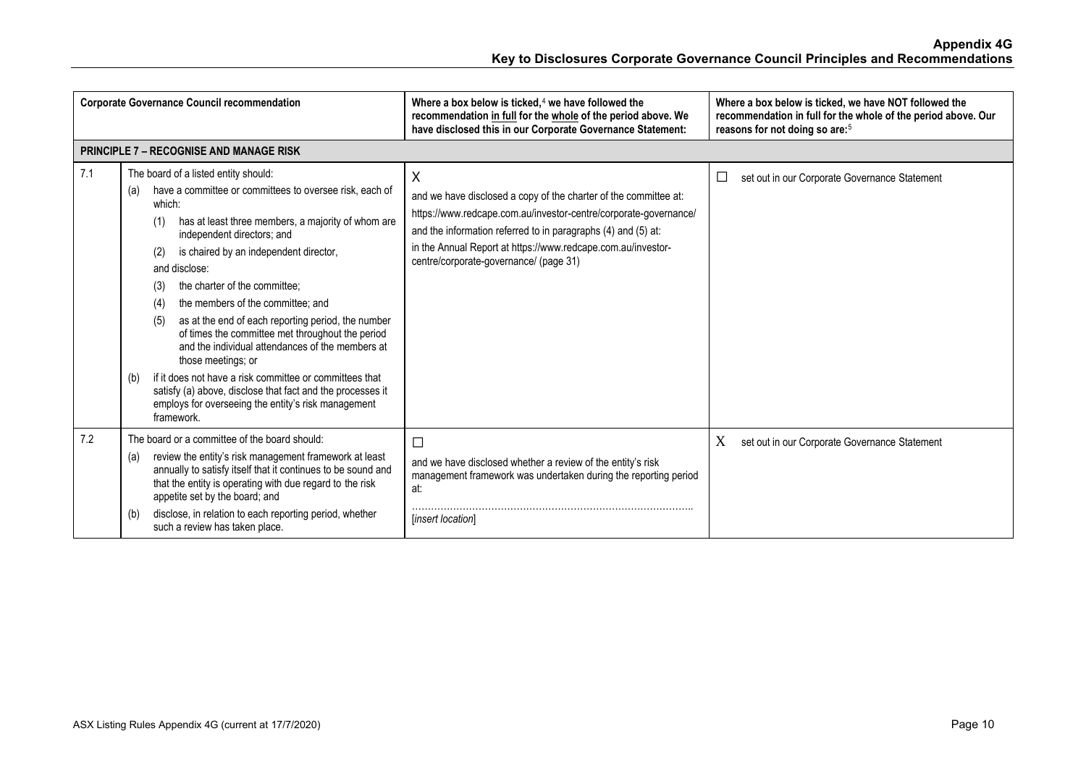| <b>Corporate Governance Council recommendation</b> |                                                                                                                                                                                                                                                                                                                                                                                                                                                                                                                                                                                                                                                                                                                                                                   | Where a box below is ticked, $4$ we have followed the<br>recommendation in full for the whole of the period above. We<br>have disclosed this in our Corporate Governance Statement:                                                                                                                                  | Where a box below is ticked, we have NOT followed the<br>recommendation in full for the whole of the period above. Our<br>reasons for not doing so are: <sup>5</sup> |
|----------------------------------------------------|-------------------------------------------------------------------------------------------------------------------------------------------------------------------------------------------------------------------------------------------------------------------------------------------------------------------------------------------------------------------------------------------------------------------------------------------------------------------------------------------------------------------------------------------------------------------------------------------------------------------------------------------------------------------------------------------------------------------------------------------------------------------|----------------------------------------------------------------------------------------------------------------------------------------------------------------------------------------------------------------------------------------------------------------------------------------------------------------------|----------------------------------------------------------------------------------------------------------------------------------------------------------------------|
|                                                    | <b>PRINCIPLE 7 - RECOGNISE AND MANAGE RISK</b>                                                                                                                                                                                                                                                                                                                                                                                                                                                                                                                                                                                                                                                                                                                    |                                                                                                                                                                                                                                                                                                                      |                                                                                                                                                                      |
| 7.1                                                | The board of a listed entity should:<br>have a committee or committees to oversee risk, each of<br>(a)<br>which:<br>has at least three members, a majority of whom are<br>(1)<br>independent directors; and<br>is chaired by an independent director,<br>(2)<br>and disclose:<br>the charter of the committee:<br>(3)<br>the members of the committee: and<br>(4)<br>as at the end of each reporting period, the number<br>(5)<br>of times the committee met throughout the period<br>and the individual attendances of the members at<br>those meetings; or<br>if it does not have a risk committee or committees that<br>(b)<br>satisfy (a) above, disclose that fact and the processes it<br>employs for overseeing the entity's risk management<br>framework. | X<br>and we have disclosed a copy of the charter of the committee at:<br>https://www.redcape.com.au/investor-centre/corporate-governance/<br>and the information referred to in paragraphs (4) and (5) at:<br>in the Annual Report at https://www.redcape.com.au/investor-<br>centre/corporate-governance/ (page 31) | set out in our Corporate Governance Statement<br>⊔                                                                                                                   |
| 7.2                                                | The board or a committee of the board should:<br>review the entity's risk management framework at least<br>(a)<br>annually to satisfy itself that it continues to be sound and<br>that the entity is operating with due regard to the risk<br>appetite set by the board; and<br>disclose, in relation to each reporting period, whether<br>(b)<br>such a review has taken place.                                                                                                                                                                                                                                                                                                                                                                                  | $\Box$<br>and we have disclosed whether a review of the entity's risk<br>management framework was undertaken during the reporting period<br>at:<br>[insert location]                                                                                                                                                 | X<br>set out in our Corporate Governance Statement                                                                                                                   |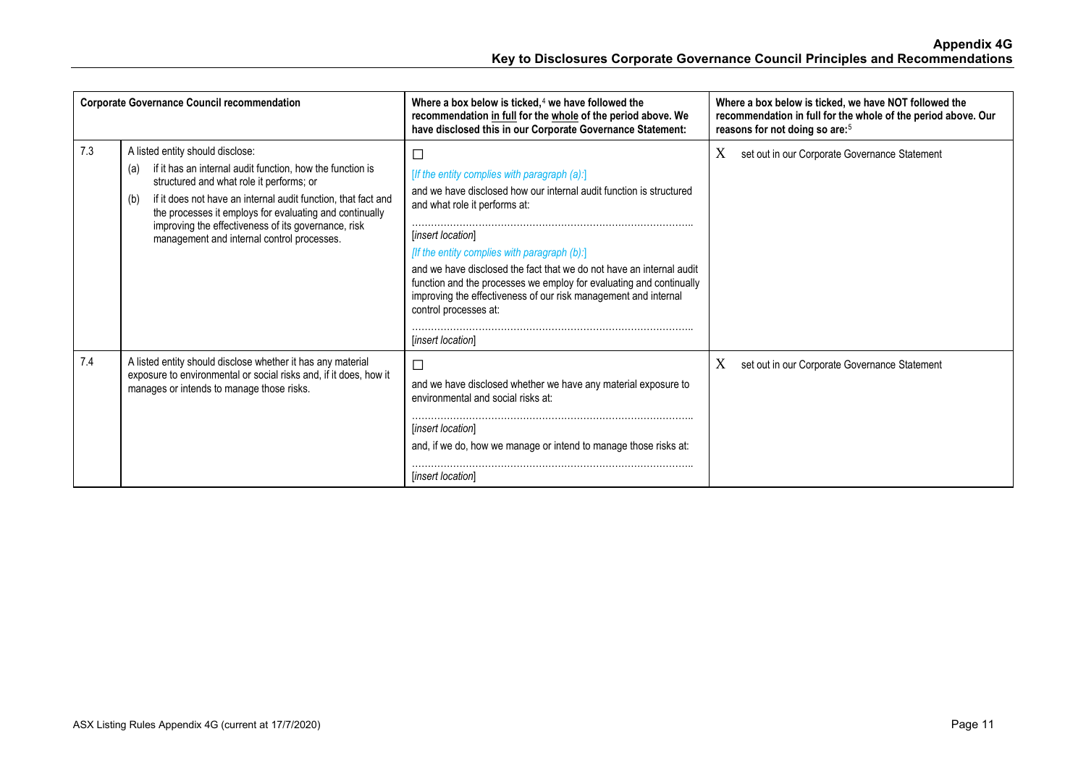| <b>Corporate Governance Council recommendation</b> |                                                                                                                                                                                                                                                                                                                                                                                          | Where a box below is ticked, $4$ we have followed the<br>recommendation in full for the whole of the period above. We<br>have disclosed this in our Corporate Governance Statement:                                                                                                                                                                                                                                                                                                                 | Where a box below is ticked, we have NOT followed the<br>recommendation in full for the whole of the period above. Our<br>reasons for not doing so are: <sup>5</sup> |
|----------------------------------------------------|------------------------------------------------------------------------------------------------------------------------------------------------------------------------------------------------------------------------------------------------------------------------------------------------------------------------------------------------------------------------------------------|-----------------------------------------------------------------------------------------------------------------------------------------------------------------------------------------------------------------------------------------------------------------------------------------------------------------------------------------------------------------------------------------------------------------------------------------------------------------------------------------------------|----------------------------------------------------------------------------------------------------------------------------------------------------------------------|
| 7.3                                                | A listed entity should disclose:<br>if it has an internal audit function, how the function is<br>(a)<br>structured and what role it performs; or<br>if it does not have an internal audit function, that fact and<br>(b)<br>the processes it employs for evaluating and continually<br>improving the effectiveness of its governance, risk<br>management and internal control processes. | $\Box$<br>[If the entity complies with paragraph (a):]<br>and we have disclosed how our internal audit function is structured<br>and what role it performs at:<br>[insert location]<br>[If the entity complies with paragraph (b):]<br>and we have disclosed the fact that we do not have an internal audit<br>function and the processes we employ for evaluating and continually<br>improving the effectiveness of our risk management and internal<br>control processes at:<br>[insert location] | X<br>set out in our Corporate Governance Statement                                                                                                                   |
| 7.4                                                | A listed entity should disclose whether it has any material<br>exposure to environmental or social risks and, if it does, how it<br>manages or intends to manage those risks.                                                                                                                                                                                                            | $\Box$<br>and we have disclosed whether we have any material exposure to<br>environmental and social risks at:<br><i>linsert location</i><br>and, if we do, how we manage or intend to manage those risks at:<br>[insert location]                                                                                                                                                                                                                                                                  | X<br>set out in our Corporate Governance Statement                                                                                                                   |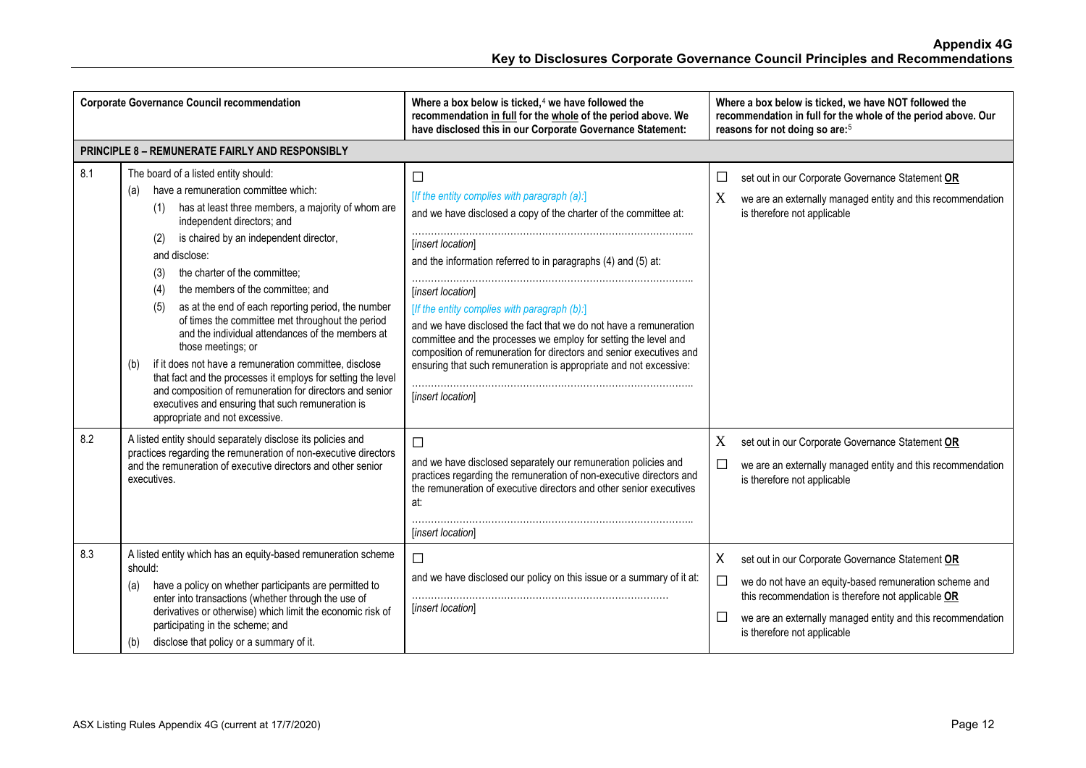| <b>Corporate Governance Council recommendation</b> |                                                                                                                                                                                                                                                                                                                                                                                                                                                                                                                                                                                                                                                                                                                                                                                                                     | Where a box below is ticked, $4$ we have followed the<br>recommendation in full for the whole of the period above. We<br>have disclosed this in our Corporate Governance Statement:                                                                                                                                                                                                                                                                                                                                                                                                            | Where a box below is ticked, we have NOT followed the<br>recommendation in full for the whole of the period above. Our<br>reasons for not doing so are: <sup>5</sup>                                                                                                                                         |
|----------------------------------------------------|---------------------------------------------------------------------------------------------------------------------------------------------------------------------------------------------------------------------------------------------------------------------------------------------------------------------------------------------------------------------------------------------------------------------------------------------------------------------------------------------------------------------------------------------------------------------------------------------------------------------------------------------------------------------------------------------------------------------------------------------------------------------------------------------------------------------|------------------------------------------------------------------------------------------------------------------------------------------------------------------------------------------------------------------------------------------------------------------------------------------------------------------------------------------------------------------------------------------------------------------------------------------------------------------------------------------------------------------------------------------------------------------------------------------------|--------------------------------------------------------------------------------------------------------------------------------------------------------------------------------------------------------------------------------------------------------------------------------------------------------------|
|                                                    | <b>PRINCIPLE 8 - REMUNERATE FAIRLY AND RESPONSIBLY</b>                                                                                                                                                                                                                                                                                                                                                                                                                                                                                                                                                                                                                                                                                                                                                              |                                                                                                                                                                                                                                                                                                                                                                                                                                                                                                                                                                                                |                                                                                                                                                                                                                                                                                                              |
| 8.1                                                | The board of a listed entity should:<br>have a remuneration committee which:<br>(a)<br>has at least three members, a majority of whom are<br>(1)<br>independent directors; and<br>is chaired by an independent director,<br>(2)<br>and disclose:<br>the charter of the committee;<br>(3)<br>the members of the committee; and<br>(4)<br>as at the end of each reporting period, the number<br>(5)<br>of times the committee met throughout the period<br>and the individual attendances of the members at<br>those meetings; or<br>if it does not have a remuneration committee, disclose<br>(b)<br>that fact and the processes it employs for setting the level<br>and composition of remuneration for directors and senior<br>executives and ensuring that such remuneration is<br>appropriate and not excessive. | $\Box$<br>[If the entity complies with paragraph (a):]<br>and we have disclosed a copy of the charter of the committee at:<br>[insert location]<br>and the information referred to in paragraphs (4) and (5) at:<br>[insert location]<br>[If the entity complies with paragraph (b):]<br>and we have disclosed the fact that we do not have a remuneration<br>committee and the processes we employ for setting the level and<br>composition of remuneration for directors and senior executives and<br>ensuring that such remuneration is appropriate and not excessive:<br>[insert location] | set out in our Corporate Governance Statement OR<br>□<br>X<br>we are an externally managed entity and this recommendation<br>is therefore not applicable                                                                                                                                                     |
| 8.2                                                | A listed entity should separately disclose its policies and<br>practices regarding the remuneration of non-executive directors<br>and the remuneration of executive directors and other senior<br>executives.                                                                                                                                                                                                                                                                                                                                                                                                                                                                                                                                                                                                       | $\Box$<br>and we have disclosed separately our remuneration policies and<br>practices regarding the remuneration of non-executive directors and<br>the remuneration of executive directors and other senior executives<br>at:<br>[insert location]                                                                                                                                                                                                                                                                                                                                             | X<br>set out in our Corporate Governance Statement OR<br>$\Box$<br>we are an externally managed entity and this recommendation<br>is therefore not applicable                                                                                                                                                |
| 8.3                                                | A listed entity which has an equity-based remuneration scheme<br>should:<br>have a policy on whether participants are permitted to<br>(a)<br>enter into transactions (whether through the use of<br>derivatives or otherwise) which limit the economic risk of<br>participating in the scheme; and<br>disclose that policy or a summary of it.<br>(b)                                                                                                                                                                                                                                                                                                                                                                                                                                                               | $\Box$<br>and we have disclosed our policy on this issue or a summary of it at:<br>[insert location]                                                                                                                                                                                                                                                                                                                                                                                                                                                                                           | X<br>set out in our Corporate Governance Statement OR<br>$\Box$<br>we do not have an equity-based remuneration scheme and<br>this recommendation is therefore not applicable OR<br>$\mathcal{L}_{\mathcal{A}}$<br>we are an externally managed entity and this recommendation<br>is therefore not applicable |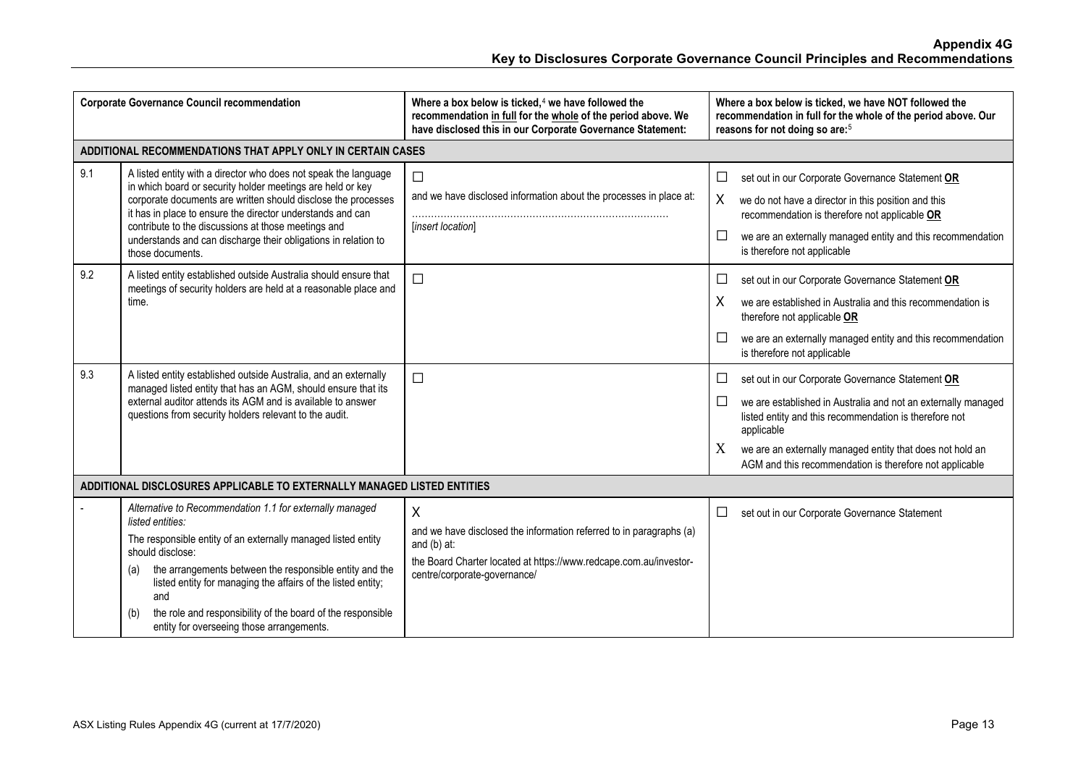| <b>Corporate Governance Council recommendation</b> |                                                                                                                                                                                                                                                                                                                                                                                                                               | Where a box below is ticked, <sup>4</sup> we have followed the<br>recommendation in full for the whole of the period above. We<br>have disclosed this in our Corporate Governance Statement:   | Where a box below is ticked, we have NOT followed the<br>recommendation in full for the whole of the period above. Our<br>reasons for not doing so are: <sup>5</sup>                                                                                                                                                                       |
|----------------------------------------------------|-------------------------------------------------------------------------------------------------------------------------------------------------------------------------------------------------------------------------------------------------------------------------------------------------------------------------------------------------------------------------------------------------------------------------------|------------------------------------------------------------------------------------------------------------------------------------------------------------------------------------------------|--------------------------------------------------------------------------------------------------------------------------------------------------------------------------------------------------------------------------------------------------------------------------------------------------------------------------------------------|
|                                                    | ADDITIONAL RECOMMENDATIONS THAT APPLY ONLY IN CERTAIN CASES                                                                                                                                                                                                                                                                                                                                                                   |                                                                                                                                                                                                |                                                                                                                                                                                                                                                                                                                                            |
| 9.1                                                | A listed entity with a director who does not speak the language<br>in which board or security holder meetings are held or key<br>corporate documents are written should disclose the processes<br>it has in place to ensure the director understands and can<br>contribute to the discussions at those meetings and<br>understands and can discharge their obligations in relation to<br>those documents.                     | $\Box$<br>and we have disclosed information about the processes in place at:<br>[insert location]                                                                                              | set out in our Corporate Governance Statement OR<br>□<br>X<br>we do not have a director in this position and this<br>recommendation is therefore not applicable OR<br>□<br>we are an externally managed entity and this recommendation<br>is therefore not applicable                                                                      |
| 9.2                                                | A listed entity established outside Australia should ensure that<br>meetings of security holders are held at a reasonable place and<br>time.                                                                                                                                                                                                                                                                                  | $\Box$                                                                                                                                                                                         | set out in our Corporate Governance Statement OR<br>$\Box$<br>X<br>we are established in Australia and this recommendation is<br>therefore not applicable OR<br>$\Box$<br>we are an externally managed entity and this recommendation<br>is therefore not applicable                                                                       |
| 9.3                                                | A listed entity established outside Australia, and an externally<br>managed listed entity that has an AGM, should ensure that its<br>external auditor attends its AGM and is available to answer<br>questions from security holders relevant to the audit.                                                                                                                                                                    | $\Box$                                                                                                                                                                                         | set out in our Corporate Governance Statement OR<br>$\Box$<br>$\Box$<br>we are established in Australia and not an externally managed<br>listed entity and this recommendation is therefore not<br>applicable<br>X<br>we are an externally managed entity that does not hold an<br>AGM and this recommendation is therefore not applicable |
|                                                    | ADDITIONAL DISCLOSURES APPLICABLE TO EXTERNALLY MANAGED LISTED ENTITIES                                                                                                                                                                                                                                                                                                                                                       |                                                                                                                                                                                                |                                                                                                                                                                                                                                                                                                                                            |
|                                                    | Alternative to Recommendation 1.1 for externally managed<br>listed entities:<br>The responsible entity of an externally managed listed entity<br>should disclose:<br>the arrangements between the responsible entity and the<br>(a)<br>listed entity for managing the affairs of the listed entity;<br>and<br>the role and responsibility of the board of the responsible<br>(b)<br>entity for overseeing those arrangements. | X<br>and we have disclosed the information referred to in paragraphs (a)<br>and $(b)$ at:<br>the Board Charter located at https://www.redcape.com.au/investor-<br>centre/corporate-governance/ | $\Box$<br>set out in our Corporate Governance Statement                                                                                                                                                                                                                                                                                    |